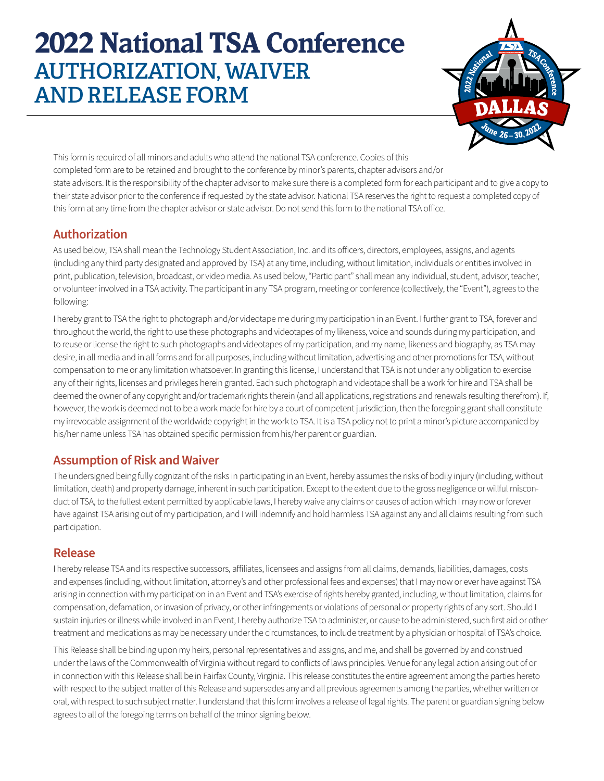# **2022 National TSA Conference** AUTHORIZATION, WAIVER AND RELEASE FORM



This form is required of all minors and adults who attend the national TSA conference. Copies of this completed form are to be retained and brought to the conference by minor's parents, chapter advisors and/or state advisors. It is the responsibility of the chapter advisor to make sure there is a completed form for each participant and to give a copy to their state advisor prior to the conference if requested by the state advisor. National TSA reserves the right to request a completed copy of this form at any time from the chapter advisor or state advisor. Do not send this form to the national TSA office.

#### **Authorization**

As used below, TSA shall mean the Technology Student Association, Inc. and its officers, directors, employees, assigns, and agents (including any third party designated and approved by TSA) at any time, including, without limitation, individuals or entities involved in print, publication, television, broadcast, or video media. As used below, "Participant" shall mean any individual, student, advisor, teacher, or volunteer involved in a TSA activity. The participant in any TSA program, meeting or conference (collectively, the "Event"), agrees to the following:

I hereby grant to TSA the right to photograph and/or videotape me during my participation in an Event. I further grant to TSA, forever and throughout the world, the right to use these photographs and videotapes of my likeness, voice and sounds during my participation, and to reuse or license the right to such photographs and videotapes of my participation, and my name, likeness and biography, as TSA may desire, in all media and in all forms and for all purposes, including without limitation, advertising and other promotions for TSA, without compensation to me or any limitation whatsoever. In granting this license, I understand that TSA is not under any obligation to exercise any of their rights, licenses and privileges herein granted. Each such photograph and videotape shall be a work for hire and TSA shall be deemed the owner of any copyright and/or trademark rights therein (and all applications, registrations and renewals resulting therefrom). If, however, the work is deemed not to be a work made for hire by a court of competent jurisdiction, then the foregoing grant shall constitute my irrevocable assignment of the worldwide copyright in the work to TSA. It is a TSA policy not to print a minor's picture accompanied by his/her name unless TSA has obtained specific permission from his/her parent or guardian.

### **Assumption of Risk and Waiver**

The undersigned being fully cognizant of the risks in participating in an Event, hereby assumes the risks of bodily injury (including, without limitation, death) and property damage, inherent in such participation. Except to the extent due to the gross negligence or willful misconduct of TSA, to the fullest extent permitted by applicable laws, I hereby waive any claims or causes of action which I may now or forever have against TSA arising out of my participation, and I will indemnify and hold harmless TSA against any and all claims resulting from such participation.

### **Release**

I hereby release TSA and its respective successors, affiliates, licensees and assigns from all claims, demands, liabilities, damages, costs and expenses (including, without limitation, attorney's and other professional fees and expenses) that I may now or ever have against TSA arising in connection with my participation in an Event and TSA's exercise of rights hereby granted, including, without limitation, claims for compensation, defamation, or invasion of privacy, or other infringements or violations of personal or property rights of any sort. Should I sustain injuries or illness while involved in an Event, I hereby authorize TSA to administer, or cause to be administered, such first aid or other treatment and medications as may be necessary under the circumstances, to include treatment by a physician or hospital of TSA's choice.

This Release shall be binding upon my heirs, personal representatives and assigns, and me, and shall be governed by and construed under the laws of the Commonwealth of Virginia without regard to conflicts of laws principles. Venue for any legal action arising out of or in connection with this Release shall be in Fairfax County, Virginia. This release constitutes the entire agreement among the parties hereto with respect to the subject matter of this Release and supersedes any and all previous agreements among the parties, whether written or oral, with respect to such subject matter. I understand that this form involves a release of legal rights. The parent or guardian signing below agrees to all of the foregoing terms on behalf of the minor signing below.